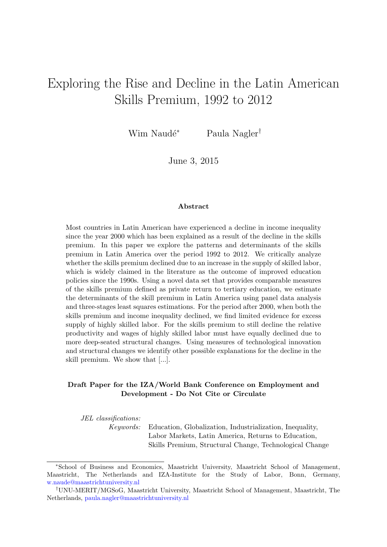# Exploring the Rise and Decline in the Latin American Skills Premium, 1992 to 2012

Wim Naudé<sup>∗</sup> Paula Nagler<sup>†</sup>

June 3, 2015

#### Abstract

Most countries in Latin American have experienced a decline in income inequality since the year 2000 which has been explained as a result of the decline in the skills premium. In this paper we explore the patterns and determinants of the skills premium in Latin America over the period 1992 to 2012. We critically analyze whether the skills premium declined due to an increase in the supply of skilled labor, which is widely claimed in the literature as the outcome of improved education policies since the 1990s. Using a novel data set that provides comparable measures of the skills premium defined as private return to tertiary education, we estimate the determinants of the skill premium in Latin America using panel data analysis and three-stages least squares estimations. For the period after 2000, when both the skills premium and income inequality declined, we find limited evidence for excess supply of highly skilled labor. For the skills premium to still decline the relative productivity and wages of highly skilled labor must have equally declined due to more deep-seated structural changes. Using measures of technological innovation and structural changes we identify other possible explanations for the decline in the skill premium. We show that [...].

#### Draft Paper for the IZA/World Bank Conference on Employment and Development - Do Not Cite or Circulate

JEL classifications:

Keywords: Education, Globalization, Industrialization, Inequality, Labor Markets, Latin America, Returns to Education, Skills Premium, Structural Change, Technological Change

<sup>∗</sup>School of Business and Economics, Maastricht University, Maastricht School of Management, Maastricht, The Netherlands and IZA-Institute for the Study of Labor, Bonn, Germany, [w.naude@maastrichtuniversity.nl](mailto:w.naude$@$maastrichtuniversity.nl)

<sup>†</sup>UNU-MERIT/MGSoG, Maastricht University, Maastricht School of Management, Maastricht, The Netherlands, [paula.nagler@maastrichtuniversity.nl](mailto:paula.nagler$@$maastrichtuniversity.nl)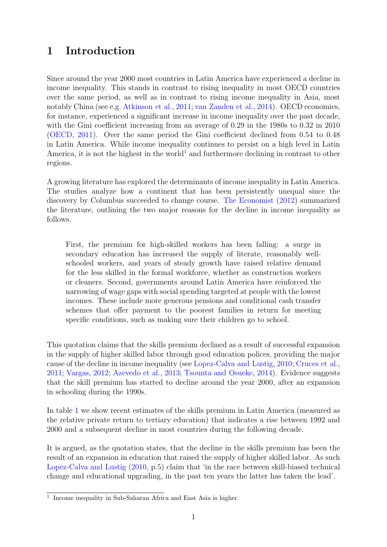## 1 Introduction

Since around the year 2000 most countries in Latin America have experienced a decline in income inequality. This stands in contrast to rising inequality in most OECD countries over the same period, as well as in contrast to rising income inequality in Asia, most notably China (see e.g. [Atkinson et al.,](#page-15-0) [2011;](#page-15-0) [van Zanden et al.,](#page-16-0) [2014\)](#page-16-0). OECD economies, for instance, experienced a significant increase in income inequality over the past decade, with the Gini coefficient increasing from an average of 0.29 in the 1980s to 0.32 in 2010 [\(OECD,](#page-15-1) [2011\)](#page-15-1). Over the same period the Gini coefficient declined from 0.54 to 0.48 in Latin America. While income inequality continues to persist on a high level in Latin America, it is not the highest in the world<sup>[1](#page-1-0)</sup> and furthermore declining in contrast to other regions.

A growing literature has explored the determinants of income inequality in Latin America. The studies analyze how a continent that has been persistently unequal since the discovery by Columbus succeeded to change course. [The Economist](#page-15-2) [\(2012\)](#page-15-2) summarized the literature, outlining the two major reasons for the decline in income inequality as follows.

First, the premium for high-skilled workers has been falling: a surge in secondary education has increased the supply of literate, reasonably wellschooled workers, and years of steady growth have raised relative demand for the less skilled in the formal workforce, whether as construction workers or cleaners. Second, governments around Latin America have reinforced the narrowing of wage gaps with social spending targeted at people with the lowest incomes. These include more generous pensions and conditional cash transfer schemes that offer payment to the poorest families in return for meeting specific conditions, such as making sure their children go to school.

This quotation claims that the skills premium declined as a result of successful expansion in the supply of higher skilled labor through good education polices, providing the major cause of the decline in income inequality (see [Lopez-Calva and Lustig,](#page-15-3) [2010;](#page-15-3) [Cruces et al.,](#page-15-4) [2011;](#page-15-4) [Vargas,](#page-16-1) [2012;](#page-16-1) [Azevedo et al.,](#page-15-5) [2013;](#page-15-5) [Tsounta and Osueke,](#page-16-2) [2014\)](#page-16-2). Evidence suggests that the skill premium has started to decline around the year 2000, after an expansion in schooling during the 1990s.

In table [1](#page-2-0) we show recent estimates of the skills premium in Latin America (measured as the relative private return to tertiary education) that indicates a rise between 1992 and 2000 and a subsequent decline in most countries during the following decade.

It is argued, as the quotation states, that the decline in the skills premium has been the result of an expansion in education that raised the supply of higher skilled labor. As such [Lopez-Calva and Lustig](#page-15-3) [\(2010,](#page-15-3) p.5) claim that 'in the race between skill-biased technical change and educational upgrading, in the past ten years the latter has taken the lead'.

<span id="page-1-0"></span><sup>&</sup>lt;sup>1</sup> Income inequality in Sub-Saharan Africa and East Asia is higher.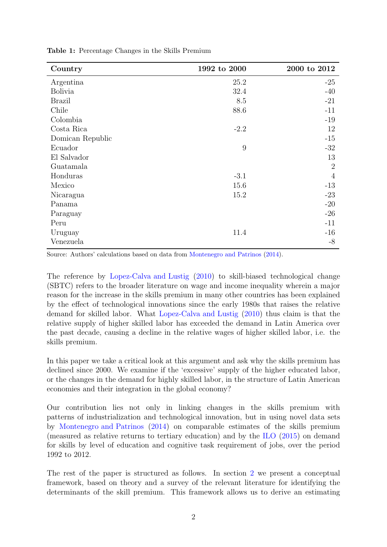| Country          | 1992 to 2000 | $2000$ to $2012\,$ |
|------------------|--------------|--------------------|
| Argentina        | 25.2         | $-25$              |
| <b>Bolivia</b>   | 32.4         | $-40$              |
| <b>Brazil</b>    | 8.5          | $-21$              |
| Chile            | 88.6         | $-11$              |
| Colombia         |              | $-19$              |
| Costa Rica       | $-2.2$       | 12                 |
| Domican Republic |              | $-15$              |
| Ecuador          | 9            | $-32$              |
| El Salvador      |              | 13                 |
| Guatamala        |              | $\overline{2}$     |
| Honduras         | $-3.1$       | $\overline{4}$     |
| Mexico           | 15.6         | $-13$              |
| Nicaragua        | 15.2         | $-23$              |
| Panama           |              | $-20$              |
| Paraguay         |              | $-26$              |
| Peru             |              | $-11$              |
| Uruguay          | 11.4         | $-16$              |
| Venezuela        |              | $-8$               |

<span id="page-2-0"></span>Table 1: Percentage Changes in the Skills Premium

Source: Authors' calculations based on data from [Montenegro and Patrinos](#page-15-6) [\(2014\)](#page-15-6).

The reference by [Lopez-Calva and Lustig](#page-15-3) [\(2010\)](#page-15-3) to skill-biased technological change (SBTC) refers to the broader literature on wage and income inequality wherein a major reason for the increase in the skills premium in many other countries has been explained by the effect of technological innovations since the early 1980s that raises the relative demand for skilled labor. What [Lopez-Calva and Lustig](#page-15-3) [\(2010\)](#page-15-3) thus claim is that the relative supply of higher skilled labor has exceeded the demand in Latin America over the past decade, causing a decline in the relative wages of higher skilled labor, i.e. the skills premium.

In this paper we take a critical look at this argument and ask why the skills premium has declined since 2000. We examine if the 'excessive' supply of the higher educated labor, or the changes in the demand for highly skilled labor, in the structure of Latin American economies and their integration in the global economy?

Our contribution lies not only in linking changes in the skills premium with patterns of industrialization and technological innovation, but in using novel data sets by [Montenegro and Patrinos](#page-15-6) [\(2014\)](#page-15-6) on comparable estimates of the skills premium (measured as relative returns to tertiary education) and by the [ILO](#page-15-7) [\(2015\)](#page-15-7) on demand for skills by level of education and cognitive task requirement of jobs, over the period 1992 to 2012.

The rest of the paper is structured as follows. In section [2](#page-3-0) we present a conceptual framework, based on theory and a survey of the relevant literature for identifying the determinants of the skill premium. This framework allows us to derive an estimating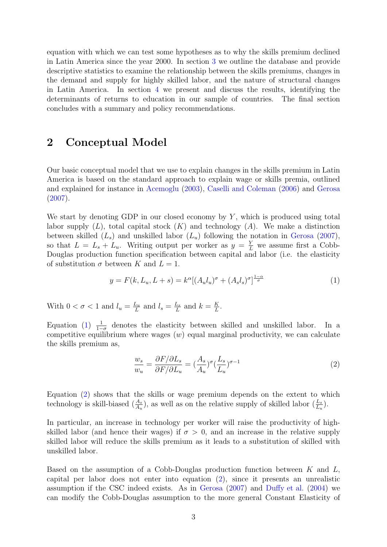equation with which we can test some hypotheses as to why the skills premium declined in Latin America since the year 2000. In section [3](#page-7-0) we outline the database and provide descriptive statistics to examine the relationship between the skills premiums, changes in the demand and supply for highly skilled labor, and the nature of structural changes in Latin America. In section [4](#page-11-0) we present and discuss the results, identifying the determinants of returns to education in our sample of countries. The final section concludes with a summary and policy recommendations.

### <span id="page-3-0"></span>2 Conceptual Model

Our basic conceptual model that we use to explain changes in the skills premium in Latin America is based on the standard approach to explain wage or skills premia, outlined and explained for instance in [Acemoglu](#page-15-8) [\(2003\)](#page-15-8), [Caselli and Coleman](#page-15-9) [\(2006\)](#page-15-9) and [Gerosa](#page-15-10) [\(2007\)](#page-15-10).

We start by denoting GDP in our closed economy by  $Y$ , which is produced using total labor supply  $(L)$ , total capital stock  $(K)$  and technology  $(A)$ . We make a distinction between skilled  $(L_s)$  and unskilled labor  $(L_u)$  following the notation in [Gerosa](#page-15-10) [\(2007\)](#page-15-10), so that  $L = L_s + L_u$ . Writing output per worker as  $y = \frac{Y}{L}$  we assume first a Cobb-Douglas production function specification between capital and labor (i.e. the elasticity of substitution  $\sigma$  between K and  $L = 1$ .

<span id="page-3-1"></span>
$$
y = F(k, L_u, L + s) = k^{\alpha} [(A_u l_u)^{\sigma} + (A_s l_s)^{\sigma}]^{\frac{1-\alpha}{\sigma}}
$$
(1)

With  $0 < \sigma < 1$  and  $l_u = \frac{L_u}{L_u}$  $\frac{L_u}{L}$  and  $l_s = \frac{L_s}{L}$  $\frac{L_s}{L}$  and  $k = \frac{K}{L}$  $\frac{K}{L}$  .

Equation  $(1)$   $\frac{1}{1}$  $\frac{1}{1-\sigma}$  denotes the elasticity between skilled and unskilled labor. In a competitive equilibrium where wages  $(w)$  equal marginal productivity, we can calculate the skills premium as,

<span id="page-3-2"></span>
$$
\frac{w_s}{w_u} = \frac{\partial F/\partial L_s}{\partial F/\partial L_u} = (\frac{A_s}{A_u})^\sigma (\frac{L_s}{L_u})^{\sigma - 1}
$$
\n(2)

Equation [\(2\)](#page-3-2) shows that the skills or wage premium depends on the extent to which technology is skill-biased  $(\frac{A_s}{A_u})$ , as well as on the relative supply of skilled labor  $(\frac{L_s}{L_u})$ .

In particular, an increase in technology per worker will raise the productivity of highskilled labor (and hence their wages) if  $\sigma > 0$ , and an increase in the relative supply skilled labor will reduce the skills premium as it leads to a substitution of skilled with unskilled labor.

Based on the assumption of a Cobb-Douglas production function between  $K$  and  $L$ , capital per labor does not enter into equation [\(2\)](#page-3-2), since it presents an unrealistic assumption if the CSC indeed exists. As in [Gerosa](#page-15-10) [\(2007\)](#page-15-10) and [Duffy et al.](#page-15-11) [\(2004\)](#page-15-11) we can modify the Cobb-Douglas assumption to the more general Constant Elasticity of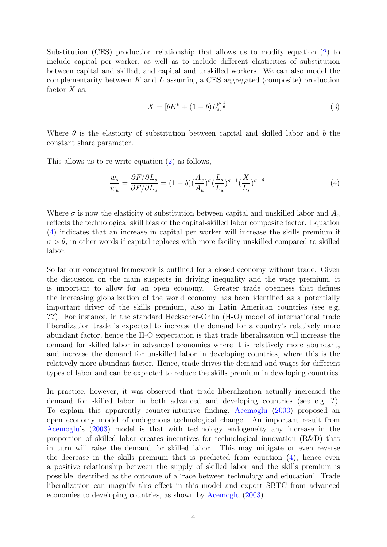Substitution (CES) production relationship that allows us to modify equation [\(2\)](#page-3-2) to include capital per worker, as well as to include different elasticities of substitution between capital and skilled, and capital and unskilled workers. We can also model the complementarity between  $K$  and  $L$  assuming a CES aggregated (composite) production factor  $X$  as,

$$
X = \left[bK^{\theta} + (1 - b)L_s^{\theta}\right]^{\frac{1}{\theta}}
$$
\n
$$
\tag{3}
$$

Where  $\theta$  is the elasticity of substitution between capital and skilled labor and b the constant share parameter.

This allows us to re-write equation [\(2\)](#page-3-2) as follows,

<span id="page-4-0"></span>
$$
\frac{w_s}{w_u} = \frac{\partial F/\partial L_s}{\partial F/\partial L_u} = (1 - b)\left(\frac{A_x}{A_u}\right)^{\sigma} \left(\frac{L_s}{L_u}\right)^{\sigma - 1} \left(\frac{X}{L_s}\right)^{\sigma - \theta} \tag{4}
$$

Where  $\sigma$  is now the elasticity of substitution between capital and unskilled labor and  $A_x$ reflects the technological skill bias of the capital-skilled labor composite factor. Equation [\(4\)](#page-4-0) indicates that an increase in capital per worker will increase the skills premium if  $\sigma > \theta$ , in other words if capital replaces with more facility unskilled compared to skilled labor.

So far our conceptual framework is outlined for a closed economy without trade. Given the discussion on the main suspects in driving inequality and the wage premium, it is important to allow for an open economy. Greater trade openness that defines the increasing globalization of the world economy has been identified as a potentially important driver of the skills premium, also in Latin American countries (see e.g. ??). For instance, in the standard Heckscher-Ohlin (H-O) model of international trade liberalization trade is expected to increase the demand for a country's relatively more abundant factor, hence the H-O expectation is that trade liberalization will increase the demand for skilled labor in advanced economies where it is relatively more abundant, and increase the demand for unskilled labor in developing countries, where this is the relatively more abundant factor. Hence, trade drives the demand and wages for different types of labor and can be expected to reduce the skills premium in developing countries.

In practice, however, it was observed that trade liberalization actually increased the demand for skilled labor in both advanced and developing countries (see e.g. ?). To explain this apparently counter-intuitive finding, [Acemoglu](#page-15-8) [\(2003\)](#page-15-8) proposed an open economy model of endogenous technological change. An important result from [Acemoglu'](#page-15-8)s [\(2003\)](#page-15-8) model is that with technology endogeneity any increase in the proportion of skilled labor creates incentives for technological innovation (R&D) that in turn will raise the demand for skilled labor. This may mitigate or even reverse the decrease in the skills premium that is predicted from equation  $(4)$ , hence even a positive relationship between the supply of skilled labor and the skills premium is possible, described as the outcome of a 'race between technology and education'. Trade liberalization can magnify this effect in this model and export SBTC from advanced economies to developing countries, as shown by [Acemoglu](#page-15-8) [\(2003\)](#page-15-8).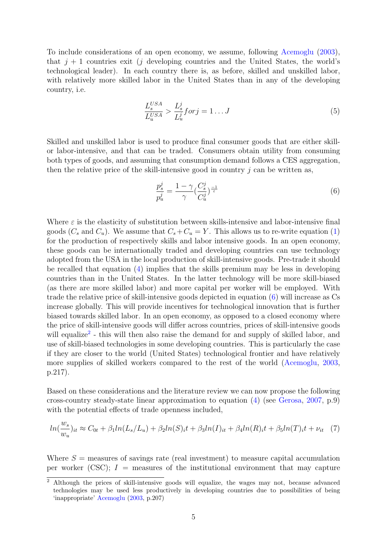To include considerations of an open economy, we assume, following [Acemoglu](#page-15-8) [\(2003\)](#page-15-8), that  $j + 1$  countries exit (j developing countries and the United States, the world's technological leader). In each country there is, as before, skilled and unskilled labor, with relatively more skilled labor in the United States than in any of the developing country, i.e.

$$
\frac{L_s^{USA}}{L_u^{USA}} > \frac{L_s^j}{L_u^j} for j = 1 \dots J \tag{5}
$$

Skilled and unskilled labor is used to produce final consumer goods that are either skillor labor-intensive, and that can be traded. Consumers obtain utility from consuming both types of goods, and assuming that consumption demand follows a CES aggregation, then the relative price of the skill-intensive good in country  $j$  can be written as,

<span id="page-5-0"></span>
$$
\frac{p_s^j}{p_u^j} = \frac{1 - \gamma}{\gamma} \left(\frac{C_s^j}{C_u^j}\right)^{\frac{-1}{\varepsilon}}\tag{6}
$$

Where  $\varepsilon$  is the elasticity of substitution between skills-intensive and labor-intensive final goods  $(C_s$  and  $C_u$ ). We assume that  $C_s + C_u = Y$ . This allows us to re-write equation [\(1\)](#page-3-1) for the production of respectively skills and labor intensive goods. In an open economy, these goods can be internationally traded and developing countries can use technology adopted from the USA in the local production of skill-intensive goods. Pre-trade it should be recalled that equation [\(4\)](#page-4-0) implies that the skills premium may be less in developing countries than in the United States. In the latter technology will be more skill-biased (as there are more skilled labor) and more capital per worker will be employed. With trade the relative price of skill-intensive goods depicted in equation  $(6)$  will increase as Cs increase globally. This will provide incentives for technological innovation that is further biased towards skilled labor. In an open economy, as opposed to a closed economy where the price of skill-intensive goods will differ across countries, prices of skill-intensive goods will equalize<sup>[2](#page-5-1)</sup> - this will then also raise the demand for and supply of skilled labor, and use of skill-biased technologies in some developing countries. This is particularly the case if they are closer to the world (United States) technological frontier and have relatively more supplies of skilled workers compared to the rest of the world [\(Acemoglu,](#page-15-8) [2003,](#page-15-8) p.217).

Based on these considerations and the literature review we can now propose the following cross-country steady-state linear approximation to equation [\(4\)](#page-4-0) (see [Gerosa,](#page-15-10) [2007,](#page-15-10) p.9) with the potential effects of trade openness included,

<span id="page-5-2"></span>
$$
ln(\frac{w_s}{w_u})_{it} \approx C_{0t} + \beta_1 ln(L_s/L_u) + \beta_2 ln(S)_{it} + \beta_3 ln(I)_{it} + \beta_4 ln(R)_{it} + \beta_5 ln(T)_{it} + \nu_{it} \quad (7)
$$

Where  $S =$  measures of savings rate (real investment) to measure capital accumulation per worker (CSC);  $I =$  measures of the institutional environment that may capture

<span id="page-5-1"></span><sup>2</sup> Although the prices of skill-intensive goods will equalize, the wages may not, because advanced technologies may be used less productively in developing countries due to possibilities of being 'inappropriate' [Acemoglu](#page-15-8) [\(2003,](#page-15-8) p.207)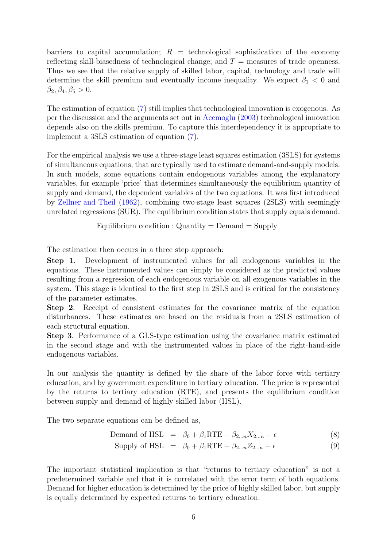barriers to capital accumulation;  $R =$  technological sophistication of the economy reflecting skill-biasedness of technological change; and  $T =$  measures of trade openness. Thus we see that the relative supply of skilled labor, capital, technology and trade will determine the skill premium and eventually income inequality. We expect  $\beta_1 < 0$  and  $\beta_2, \beta_4, \beta_5 > 0.$ 

The estimation of equation [\(7\)](#page-5-2) still implies that technological innovation is exogenous. As per the discussion and the arguments set out in [Acemoglu](#page-15-8) [\(2003\)](#page-15-8) technological innovation depends also on the skills premium. To capture this interdependency it is appropriate to implement a 3SLS estimation of equation [\(7\)](#page-5-2).

For the empirical analysis we use a three-stage least squares estimation (3SLS) for systems of simultaneous equations, that are typically used to estimate demand-and-supply models. In such models, some equations contain endogenous variables among the explanatory variables, for example 'price' that determines simultaneously the equilibrium quantity of supply and demand, the dependent variables of the two equations. It was first introduced by [Zellner and Theil](#page-16-3) [\(1962\)](#page-16-3), combining two-stage least squares (2SLS) with seemingly unrelated regressions (SUR). The equilibrium condition states that supply equals demand.

Equilibrium condition :  $\text{Quantity} = \text{Demand} = \text{Supply}$ 

The estimation then occurs in a three step approach:

Step 1. Development of instrumented values for all endogenous variables in the equations. These instrumented values can simply be considered as the predicted values resulting from a regression of each endogenous variable on all exogenous variables in the system. This stage is identical to the first step in 2SLS and is critical for the consistency of the parameter estimates.

Step 2. Receipt of consistent estimates for the covariance matrix of the equation disturbances. These estimates are based on the residuals from a 2SLS estimation of each structural equation.

Step 3. Performance of a GLS-type estimation using the covariance matrix estimated in the second stage and with the instrumented values in place of the right-hand-side endogenous variables.

In our analysis the quantity is defined by the share of the labor force with tertiary education, and by government expenditure in tertiary education. The price is represented by the returns to tertiary education (RTE), and presents the equilibrium condition between supply and demand of highly skilled labor (HSL).

The two separate equations can be defined as,

$$
Demand of HSL = \beta_0 + \beta_1 RTE + \beta_{2...n} X_{2...n} + \epsilon
$$
\n(8)

$$
ext{Supply of HSL} = \beta_0 + \beta_1 \text{RTE} + \beta_{2...n} Z_{2...n} + \epsilon \tag{9}
$$

The important statistical implication is that "returns to tertiary education" is not a predetermined variable and that it is correlated with the error term of both equations. Demand for higher education is determined by the price of highly skilled labor, but supply is equally determined by expected returns to tertiary education.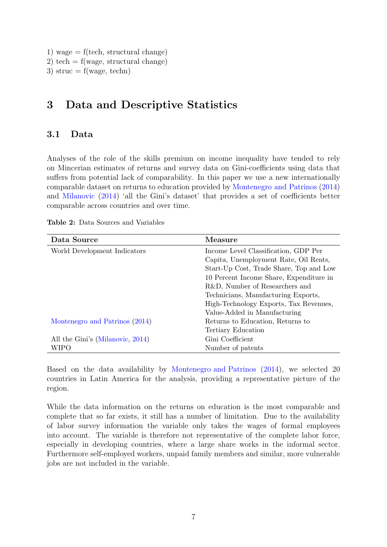- 1) wage  $=$  f(tech, structural change)
- 2) tech =  $f(wage, structural change)$
- 3) struc =  $f(wage, techn)$

### <span id="page-7-0"></span>3 Data and Descriptive Statistics

### 3.1 Data

Analyses of the role of the skills premium on income inequality have tended to rely on Mincerian estimates of returns and survey data on Gini-coefficients using data that suffers from potential lack of comparability. In this paper we use a new internationally comparable dataset on returns to education provided by [Montenegro and Patrinos](#page-15-6) [\(2014\)](#page-15-6) and [Milanovic](#page-15-12) [\(2014\)](#page-15-12) 'all the Gini's dataset' that provides a set of coefficients better comparable across countries and over time.

| Data Source                      | Measure                                 |  |
|----------------------------------|-----------------------------------------|--|
| World Development Indicators     | Income Level Classification, GDP Per    |  |
|                                  | Capita, Unemployment Rate, Oil Rents,   |  |
|                                  | Start-Up Cost, Trade Share, Top and Low |  |
|                                  | 10 Percent Income Share, Expenditure in |  |
|                                  | R&D, Number of Researchers and          |  |
|                                  | Technicians, Manufacturing Exports,     |  |
|                                  | High-Technology Exports, Tax Revenues,  |  |
|                                  | Value-Added in Manufacturing            |  |
| Montenegro and Patrinos (2014)   | Returns to Education, Returns to        |  |
|                                  | Tertiary Education                      |  |
| All the Gini's (Milanovic, 2014) | Gini Coefficient                        |  |
| WIPO                             | Number of patents                       |  |

Table 2: Data Sources and Variables

Based on the data availability by [Montenegro and Patrinos](#page-15-6) [\(2014\)](#page-15-6), we selected 20 countries in Latin America for the analysis, providing a representative picture of the region.

While the data information on the returns on education is the most comparable and complete that so far exists, it still has a number of limitation. Due to the availability of labor survey information the variable only takes the wages of formal employees into account. The variable is therefore not representative of the complete labor force, especially in developing countries, where a large share works in the informal sector. Furthermore self-employed workers, unpaid family members and similar, more vulnerable jobs are not included in the variable.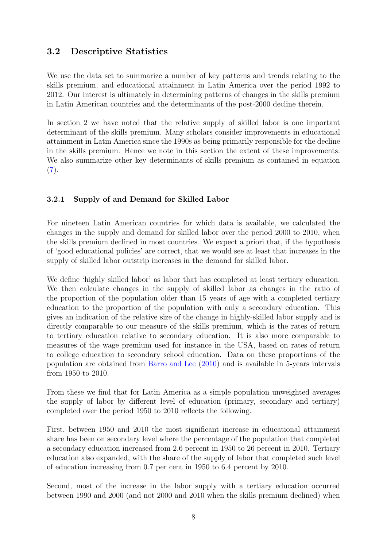### 3.2 Descriptive Statistics

We use the data set to summarize a number of key patterns and trends relating to the skills premium, and educational attainment in Latin America over the period 1992 to 2012. Our interest is ultimately in determining patterns of changes in the skills premium in Latin American countries and the determinants of the post-2000 decline therein.

In section 2 we have noted that the relative supply of skilled labor is one important determinant of the skills premium. Many scholars consider improvements in educational attainment in Latin America since the 1990s as being primarily responsible for the decline in the skills premium. Hence we note in this section the extent of these improvements. We also summarize other key determinants of skills premium as contained in equation  $(7).$  $(7).$ 

#### 3.2.1 Supply of and Demand for Skilled Labor

For nineteen Latin American countries for which data is available, we calculated the changes in the supply and demand for skilled labor over the period 2000 to 2010, when the skills premium declined in most countries. We expect a priori that, if the hypothesis of 'good educational policies' are correct, that we would see at least that increases in the supply of skilled labor outstrip increases in the demand for skilled labor.

We define 'highly skilled labor' as labor that has completed at least tertiary education. We then calculate changes in the supply of skilled labor as changes in the ratio of the proportion of the population older than 15 years of age with a completed tertiary education to the proportion of the population with only a secondary education. This gives an indication of the relative size of the change in highly-skilled labor supply and is directly comparable to our measure of the skills premium, which is the rates of return to tertiary education relative to secondary education. It is also more comparable to measures of the wage premium used for instance in the USA, based on rates of return to college education to secondary school education. Data on these proportions of the population are obtained from [Barro and Lee](#page-15-13) [\(2010\)](#page-15-13) and is available in 5-years intervals from 1950 to 2010.

From these we find that for Latin America as a simple population unweighted averages the supply of labor by different level of education (primary, secondary and tertiary) completed over the period 1950 to 2010 reflects the following.

First, between 1950 and 2010 the most significant increase in educational attainment share has been on secondary level where the percentage of the population that completed a secondary education increased from 2.6 percent in 1950 to 26 percent in 2010. Tertiary education also expanded, with the share of the supply of labor that completed such level of education increasing from 0.7 per cent in 1950 to 6.4 percent by 2010.

Second, most of the increase in the labor supply with a tertiary education occurred between 1990 and 2000 (and not 2000 and 2010 when the skills premium declined) when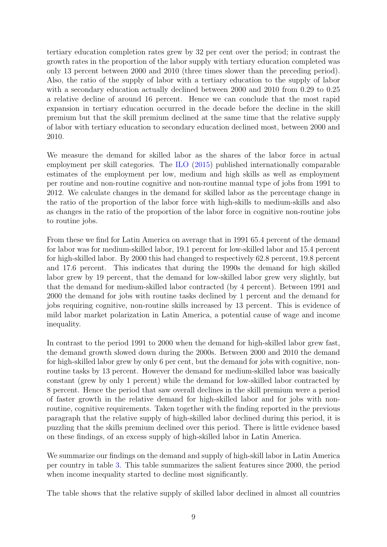tertiary education completion rates grew by 32 per cent over the period; in contrast the growth rates in the proportion of the labor supply with tertiary education completed was only 13 percent between 2000 and 2010 (three times slower than the preceding period). Also, the ratio of the supply of labor with a tertiary education to the supply of labor with a secondary education actually declined between 2000 and 2010 from 0.29 to 0.25 a relative decline of around 16 percent. Hence we can conclude that the most rapid expansion in tertiary education occurred in the decade before the decline in the skill premium but that the skill premium declined at the same time that the relative supply of labor with tertiary education to secondary education declined most, between 2000 and 2010.

We measure the demand for skilled labor as the shares of the labor force in actual employment per skill categories. The [ILO](#page-15-7) [\(2015\)](#page-15-7) published internationally comparable estimates of the employment per low, medium and high skills as well as employment per routine and non-routine cognitive and non-routine manual type of jobs from 1991 to 2012. We calculate changes in the demand for skilled labor as the percentage change in the ratio of the proportion of the labor force with high-skills to medium-skills and also as changes in the ratio of the proportion of the labor force in cognitive non-routine jobs to routine jobs.

From these we find for Latin America on average that in 1991 65.4 percent of the demand for labor was for medium-skilled labor, 19.1 percent for low-skilled labor and 15.4 percent for high-skilled labor. By 2000 this had changed to respectively 62.8 percent, 19.8 percent and 17.6 percent. This indicates that during the 1990s the demand for high skilled labor grew by 19 percent, that the demand for low-skilled labor grew very slightly, but that the demand for medium-skilled labor contracted (by 4 percent). Between 1991 and 2000 the demand for jobs with routine tasks declined by 1 percent and the demand for jobs requiring cognitive, non-routine skills increased by 13 percent. This is evidence of mild labor market polarization in Latin America, a potential cause of wage and income inequality.

In contrast to the period 1991 to 2000 when the demand for high-skilled labor grew fast, the demand growth slowed down during the 2000s. Between 2000 and 2010 the demand for high-skilled labor grew by only 6 per cent, but the demand for jobs with cognitive, nonroutine tasks by 13 percent. However the demand for medium-skilled labor was basically constant (grew by only 1 percent) while the demand for low-skilled labor contracted by 8 percent. Hence the period that saw overall declines in the skill premium were a period of faster growth in the relative demand for high-skilled labor and for jobs with nonroutine, cognitive requirements. Taken together with the finding reported in the previous paragraph that the relative supply of high-skilled labor declined during this period, it is puzzling that the skills premium declined over this period. There is little evidence based on these findings, of an excess supply of high-skilled labor in Latin America.

We summarize our findings on the demand and supply of high-skill labor in Latin America per country in table [3.](#page-10-0) This table summarizes the salient features since 2000, the period when income inequality started to decline most significantly.

The table shows that the relative supply of skilled labor declined in almost all countries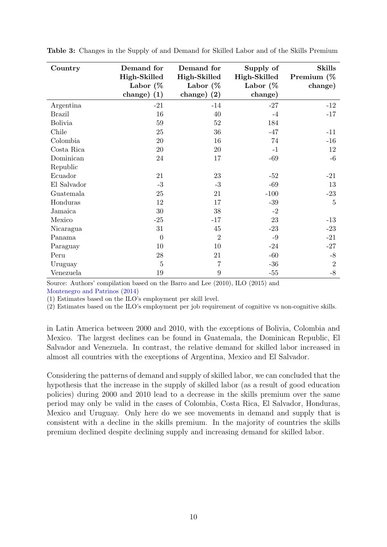| Country        | Demand for<br>High-Skilled<br>Labor $\%$<br>change) $(1)$ | Demand for<br>High-Skilled<br>Labor $\%$<br>$change)$ (2) | Supply of<br>High-Skilled<br>Labor $(\%$<br>change) | <b>Skills</b><br>Premium (%<br>change) |
|----------------|-----------------------------------------------------------|-----------------------------------------------------------|-----------------------------------------------------|----------------------------------------|
| Argentina      | $-21$                                                     | $-14$                                                     | $-27$                                               | $-12$                                  |
| <b>Brazil</b>  | 16                                                        | 40                                                        | $-4$                                                | $-17$                                  |
| <b>Bolivia</b> | $59\,$                                                    | $52\,$                                                    | 184                                                 |                                        |
| Chile          | 25                                                        | 36                                                        | $-47$                                               | $-11$                                  |
| Colombia       | $20\,$                                                    | 16                                                        | 74                                                  | $-16$                                  |
| Costa Rica     | 20                                                        | 20                                                        | $-1$                                                | 12                                     |
| Dominican      | 24                                                        | 17                                                        | $-69$                                               | $-6$                                   |
| Republic       |                                                           |                                                           |                                                     |                                        |
| Ecuador        | 21                                                        | 23                                                        | $-52$                                               | $-21$                                  |
| El Salvador    | $-3$                                                      | $-3$                                                      | $-69$                                               | 13                                     |
| Guatemala      | 25                                                        | 21                                                        | $-100$                                              | $-23$                                  |
| Honduras       | 12                                                        | 17                                                        | $-39$                                               | $\overline{5}$                         |
| Jamaica        | $30\,$                                                    | 38                                                        | $-2$                                                |                                        |
| Mexico         | $-25$                                                     | $-17$                                                     | 23                                                  | $-13$                                  |
| Nicaragua      | 31                                                        | 45                                                        | $-23$                                               | $-23$                                  |
| Panama         | $\overline{0}$                                            | $\overline{2}$                                            | $-9$                                                | $-21$                                  |
| Paraguay       | 10                                                        | 10                                                        | $-24$                                               | $-27$                                  |
| Peru           | 28                                                        | 21                                                        | $-60$                                               | $-8$                                   |
| Uruguay        | $\overline{5}$                                            | 7                                                         | $-36$                                               | $\boldsymbol{2}$                       |
| Venezuela      | 19                                                        | 9                                                         | $-55$                                               | $-8$                                   |

<span id="page-10-0"></span>Table 3: Changes in the Supply of and Demand for Skilled Labor and of the Skills Premium

Source: Authors' compilation based on the Barro and Lee (2010), ILO (2015) and

[Montenegro and Patrinos](#page-15-6) [\(2014\)](#page-15-6)

(1) Estimates based on the ILO's employment per skill level.

(2) Estimates based on the ILO's employment per job requirement of cognitive vs non-cognitive skills.

in Latin America between 2000 and 2010, with the exceptions of Bolivia, Colombia and Mexico. The largest declines can be found in Guatemala, the Dominican Republic, El Salvador and Venezuela. In contrast, the relative demand for skilled labor increased in almost all countries with the exceptions of Argentina, Mexico and El Salvador.

Considering the patterns of demand and supply of skilled labor, we can concluded that the hypothesis that the increase in the supply of skilled labor (as a result of good education policies) during 2000 and 2010 lead to a decrease in the skills premium over the same period may only be valid in the cases of Colombia, Costa Rica, El Salvador, Honduras, Mexico and Uruguay. Only here do we see movements in demand and supply that is consistent with a decline in the skills premium. In the majority of countries the skills premium declined despite declining supply and increasing demand for skilled labor.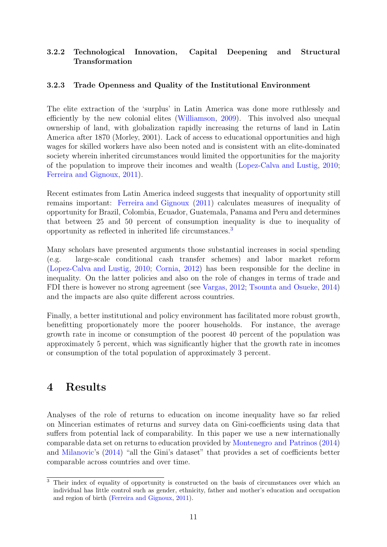#### 3.2.2 Technological Innovation, Capital Deepening and Structural Transformation

#### 3.2.3 Trade Openness and Quality of the Institutional Environment

The elite extraction of the 'surplus' in Latin America was done more ruthlessly and efficiently by the new colonial elites [\(Williamson,](#page-16-4) [2009\)](#page-16-4). This involved also unequal ownership of land, with globalization rapidly increasing the returns of land in Latin America after 1870 (Morley, 2001). Lack of access to educational opportunities and high wages for skilled workers have also been noted and is consistent with an elite-dominated society wherein inherited circumstances would limited the opportunities for the majority of the population to improve their incomes and wealth [\(Lopez-Calva and Lustig,](#page-15-3) [2010;](#page-15-3) [Ferreira and Gignoux,](#page-15-14) [2011\)](#page-15-14).

Recent estimates from Latin America indeed suggests that inequality of opportunity still remains important: [Ferreira and Gignoux](#page-15-14) [\(2011\)](#page-15-14) calculates measures of inequality of opportunity for Brazil, Colombia, Ecuador, Guatemala, Panama and Peru and determines that between 25 and 50 percent of consumption inequality is due to inequality of opportunity as reflected in inherited life circumstances.[3](#page-11-1)

Many scholars have presented arguments those substantial increases in social spending (e.g. large-scale conditional cash transfer schemes) and labor market reform [\(Lopez-Calva and Lustig,](#page-15-3) [2010;](#page-15-3) [Cornia,](#page-15-15) [2012\)](#page-15-15) has been responsible for the decline in inequality. On the latter policies and also on the role of changes in terms of trade and FDI there is however no strong agreement (see [Vargas,](#page-16-1) [2012;](#page-16-1) [Tsounta and Osueke,](#page-16-2) [2014\)](#page-16-2) and the impacts are also quite different across countries.

Finally, a better institutional and policy environment has facilitated more robust growth, benefitting proportionately more the poorer households. For instance, the average growth rate in income or consumption of the poorest 40 percent of the population was approximately 5 percent, which was significantly higher that the growth rate in incomes or consumption of the total population of approximately 3 percent.

### <span id="page-11-0"></span>4 Results

Analyses of the role of returns to education on income inequality have so far relied on Mincerian estimates of returns and survey data on Gini-coefficients using data that suffers from potential lack of comparability. In this paper we use a new internationally comparable data set on returns to education provided by [Montenegro and Patrinos](#page-15-6) [\(2014\)](#page-15-6) and [Milanovic'](#page-15-12)s [\(2014\)](#page-15-12) "all the Gini's dataset" that provides a set of coefficients better comparable across countries and over time.

<span id="page-11-1"></span><sup>&</sup>lt;sup>3</sup> Their index of equality of opportunity is constructed on the basis of circumstances over which an individual has little control such as gender, ethnicity, father and mother's education and occupation and region of birth [\(Ferreira and Gignoux,](#page-15-14) [2011\)](#page-15-14).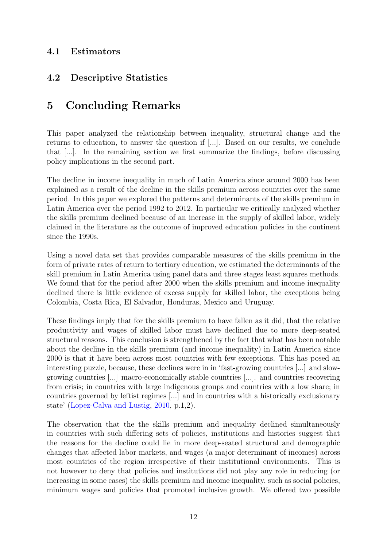### 4.1 Estimators

### 4.2 Descriptive Statistics

### 5 Concluding Remarks

This paper analyzed the relationship between inequality, structural change and the returns to education, to answer the question if [...]. Based on our results, we conclude that [...]. In the remaining section we first summarize the findings, before discussing policy implications in the second part.

The decline in income inequality in much of Latin America since around 2000 has been explained as a result of the decline in the skills premium across countries over the same period. In this paper we explored the patterns and determinants of the skills premium in Latin America over the period 1992 to 2012. In particular we critically analyzed whether the skills premium declined because of an increase in the supply of skilled labor, widely claimed in the literature as the outcome of improved education policies in the continent since the 1990s.

Using a novel data set that provides comparable measures of the skills premium in the form of private rates of return to tertiary education, we estimated the determinants of the skill premium in Latin America using panel data and three stages least squares methods. We found that for the period after 2000 when the skills premium and income inequality declined there is little evidence of excess supply for skilled labor, the exceptions being Colombia, Costa Rica, El Salvador, Honduras, Mexico and Uruguay.

These findings imply that for the skills premium to have fallen as it did, that the relative productivity and wages of skilled labor must have declined due to more deep-seated structural reasons. This conclusion is strengthened by the fact that what has been notable about the decline in the skills premium (and income inequality) in Latin America since 2000 is that it have been across most countries with few exceptions. This has posed an interesting puzzle, because, these declines were in in 'fast-growing countries [...] and slowgrowing countries [...] macro-economically stable countries [...]. and countries recovering from crisis; in countries with large indigenous groups and countries with a low share; in countries governed by leftist regimes [...] and in countries with a historically exclusionary state' [\(Lopez-Calva and Lustig,](#page-15-3) [2010,](#page-15-3) p.1,2).

The observation that the the skills premium and inequality declined simultaneously in countries with such differing sets of policies, institutions and histories suggest that the reasons for the decline could lie in more deep-seated structural and demographic changes that affected labor markets, and wages (a major determinant of incomes) across most countries of the region irrespective of their institutional environments. This is not however to deny that policies and institutions did not play any role in reducing (or increasing in some cases) the skills premium and income inequality, such as social policies, minimum wages and policies that promoted inclusive growth. We offered two possible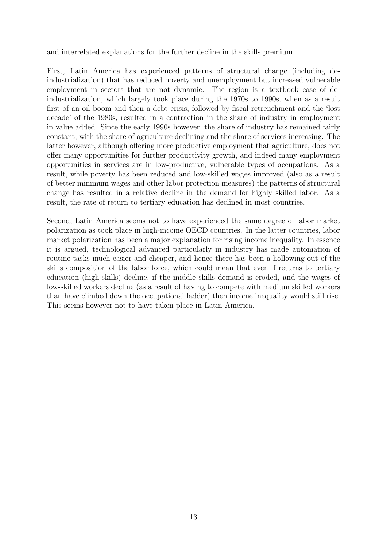and interrelated explanations for the further decline in the skills premium.

First, Latin America has experienced patterns of structural change (including deindustrialization) that has reduced poverty and unemployment but increased vulnerable employment in sectors that are not dynamic. The region is a textbook case of deindustrialization, which largely took place during the 1970s to 1990s, when as a result first of an oil boom and then a debt crisis, followed by fiscal retrenchment and the 'lost decade' of the 1980s, resulted in a contraction in the share of industry in employment in value added. Since the early 1990s however, the share of industry has remained fairly constant, with the share of agriculture declining and the share of services increasing. The latter however, although offering more productive employment that agriculture, does not offer many opportunities for further productivity growth, and indeed many employment opportunities in services are in low-productive, vulnerable types of occupations. As a result, while poverty has been reduced and low-skilled wages improved (also as a result of better minimum wages and other labor protection measures) the patterns of structural change has resulted in a relative decline in the demand for highly skilled labor. As a result, the rate of return to tertiary education has declined in most countries.

Second, Latin America seems not to have experienced the same degree of labor market polarization as took place in high-income OECD countries. In the latter countries, labor market polarization has been a major explanation for rising income inequality. In essence it is argued, technological advanced particularly in industry has made automation of routine-tasks much easier and cheaper, and hence there has been a hollowing-out of the skills composition of the labor force, which could mean that even if returns to tertiary education (high-skills) decline, if the middle skills demand is eroded, and the wages of low-skilled workers decline (as a result of having to compete with medium skilled workers than have climbed down the occupational ladder) then income inequality would still rise. This seems however not to have taken place in Latin America.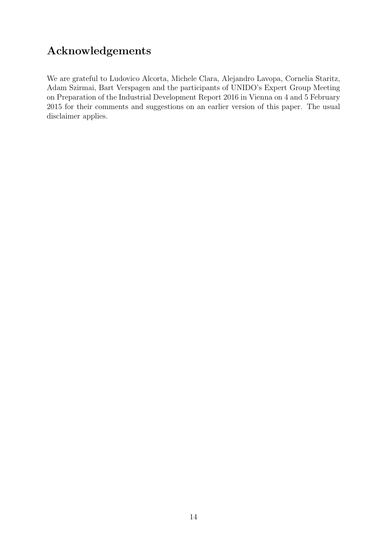## Acknowledgements

We are grateful to Ludovico Alcorta, Michele Clara, Alejandro Lavopa, Cornelia Staritz, Adam Szirmai, Bart Verspagen and the participants of UNIDO's Expert Group Meeting on Preparation of the Industrial Development Report 2016 in Vienna on 4 and 5 February 2015 for their comments and suggestions on an earlier version of this paper. The usual disclaimer applies.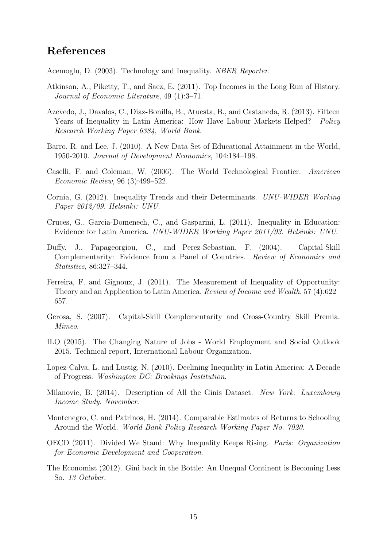### References

<span id="page-15-8"></span>Acemoglu, D. (2003). Technology and Inequality. NBER Reporter.

- <span id="page-15-0"></span>Atkinson, A., Piketty, T., and Saez, E. (2011). Top Incomes in the Long Run of History. Journal of Economic Literature, 49 (1):3–71.
- <span id="page-15-5"></span>Azevedo, J., Davalos, C., Diaz-Bonilla, B., Atuesta, B., and Castaneda, R. (2013). Fifteen Years of Inequality in Latin America: How Have Labour Markets Helped? Policy Research Working Paper 6384, World Bank.
- <span id="page-15-13"></span>Barro, R. and Lee, J. (2010). A New Data Set of Educational Attainment in the World, 1950-2010. Journal of Development Economics, 104:184–198.
- <span id="page-15-9"></span>Caselli, F. and Coleman, W. (2006). The World Technological Frontier. American Economic Review, 96 (3):499–522.
- <span id="page-15-15"></span>Cornia, G. (2012). Inequality Trends and their Determinants. UNU-WIDER Working Paper 2012/09. Helsinki: UNU.
- <span id="page-15-4"></span>Cruces, G., Garcia-Domenech, C., and Gasparini, L. (2011). Inequality in Education: Evidence for Latin America. UNU-WIDER Working Paper 2011/93. Helsinki: UNU.
- <span id="page-15-11"></span>Duffy, J., Papageorgiou, C., and Perez-Sebastian, F. (2004). Capital-Skill Complementarity: Evidence from a Panel of Countries. Review of Economics and Statistics, 86:327–344.
- <span id="page-15-14"></span>Ferreira, F. and Gignoux, J. (2011). The Measurement of Inequality of Opportunity: Theory and an Application to Latin America. Review of Income and Wealth, 57 (4):622– 657.
- <span id="page-15-10"></span>Gerosa, S. (2007). Capital-Skill Complementarity and Cross-Country Skill Premia. Mimeo.
- <span id="page-15-7"></span>ILO (2015). The Changing Nature of Jobs - World Employment and Social Outlook 2015. Technical report, International Labour Organization.
- <span id="page-15-3"></span>Lopez-Calva, L. and Lustig, N. (2010). Declining Inequality in Latin America: A Decade of Progress. Washington DC: Brookings Institution.
- <span id="page-15-12"></span>Milanovic, B. (2014). Description of All the Ginis Dataset. New York: Luxembourg Income Study. November.
- <span id="page-15-6"></span>Montenegro, C. and Patrinos, H. (2014). Comparable Estimates of Returns to Schooling Around the World. World Bank Policy Research Working Paper No. 7020.
- <span id="page-15-1"></span>OECD (2011). Divided We Stand: Why Inequality Keeps Rising. Paris: Organization for Economic Development and Cooperation.
- <span id="page-15-2"></span>The Economist (2012). Gini back in the Bottle: An Unequal Continent is Becoming Less So. 13 October.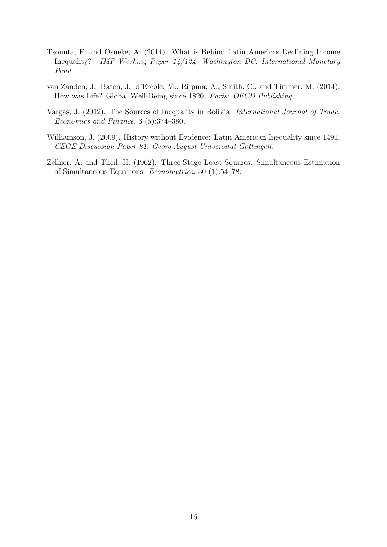- <span id="page-16-2"></span>Tsounta, E. and Osueke, A. (2014). What is Behind Latin Americas Declining Income Inequality? IMF Working Paper 14/124. Washington DC: International Monetary Fund.
- <span id="page-16-0"></span>van Zanden, J., Baten, J., d'Ercole, M., Rijpma, A., Smith, C., and Timmer, M. (2014). How was Life? Global Well-Being since 1820. Paris: OECD Publishing.
- <span id="page-16-1"></span>Vargas, J. (2012). The Sources of Inequality in Bolivia. International Journal of Trade, Economics and Finance, 3 (5):374–380.
- <span id="page-16-4"></span>Williamson, J. (2009). History without Evidence: Latin American Inequality since 1491. CEGE Discussion Paper 81. Georg-August Universitat Göttingen.
- <span id="page-16-3"></span>Zellner, A. and Theil, H. (1962). Three-Stage Least Squares: Simultaneous Estimation of Simultaneous Equations. Econometrica, 30 (1):54–78.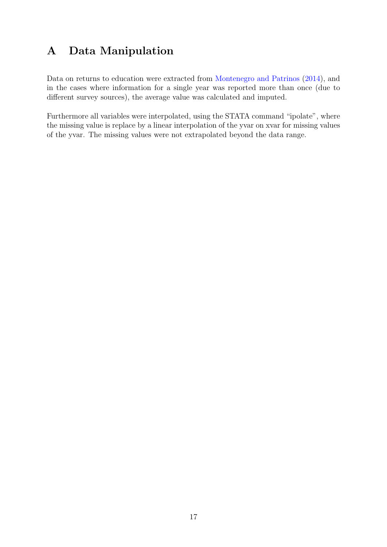## A Data Manipulation

Data on returns to education were extracted from [Montenegro and Patrinos](#page-15-6) [\(2014\)](#page-15-6), and in the cases where information for a single year was reported more than once (due to different survey sources), the average value was calculated and imputed.

Furthermore all variables were interpolated, using the STATA command "ipolate", where the missing value is replace by a linear interpolation of the yvar on xvar for missing values of the yvar. The missing values were not extrapolated beyond the data range.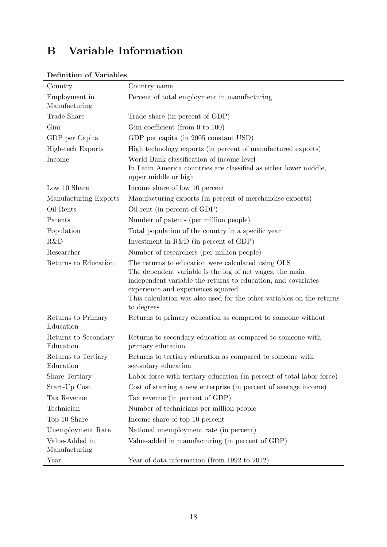# B Variable Information

| Country                           | Country name                                                                                                                                                                                                                                                                                                 |
|-----------------------------------|--------------------------------------------------------------------------------------------------------------------------------------------------------------------------------------------------------------------------------------------------------------------------------------------------------------|
| Employment in<br>Manufacturing    | Percent of total employment in manufacturing                                                                                                                                                                                                                                                                 |
| Trade Share                       | Trade share (in percent of GDP)                                                                                                                                                                                                                                                                              |
| Gini                              | Gini coefficient (from $0$ to $100$ )                                                                                                                                                                                                                                                                        |
| GDP per Capita                    | GDP per capita (in 2005 constant USD)                                                                                                                                                                                                                                                                        |
| High-tech Exports                 | High technology exports (in percent of manufactured exports)                                                                                                                                                                                                                                                 |
| Income                            | World Bank classification of income level<br>In Latin America countries are classified as either lower middle,<br>upper middle or high                                                                                                                                                                       |
| Low 10 Share                      | Income share of low 10 percent                                                                                                                                                                                                                                                                               |
| Manufacturing Exports             | Manufacturing exports (in percent of merchandise exports)                                                                                                                                                                                                                                                    |
| Oil Rents                         | Oil rent (in percent of GDP)                                                                                                                                                                                                                                                                                 |
| Patents                           | Number of patents (per million people)                                                                                                                                                                                                                                                                       |
| Population                        | Total population of the country in a specific year                                                                                                                                                                                                                                                           |
| R&D                               | Investment in $R&D$ (in percent of GDP)                                                                                                                                                                                                                                                                      |
| Researcher                        | Number of researchers (per million people)                                                                                                                                                                                                                                                                   |
| Returns to Education              | The returns to education were calculated using OLS<br>The dependent variable is the log of net wages, the main<br>independent variable the returns to education, and covariates<br>experience and experiences squared<br>This calculation was also used for the other variables on the returns<br>to degrees |
| Returns to Primary<br>Education   | Returns to primary education as compared to someone without                                                                                                                                                                                                                                                  |
| Returns to Secondary<br>Education | Returns to secondary education as compared to someone with<br>primary education                                                                                                                                                                                                                              |
| Returns to Tertiary<br>Education  | Returns to tertiary education as compared to some one with<br>secondary education                                                                                                                                                                                                                            |
| <b>Share Tertiary</b>             | Labor force with tertiary education (in percent of total labor force)                                                                                                                                                                                                                                        |
| Start-Up Cost                     | Cost of starting a new enterprise (in percent of average income)                                                                                                                                                                                                                                             |
| Tax Revenue                       | Tax revenue (in percent of GDP)                                                                                                                                                                                                                                                                              |
| Technician                        | Number of technicians per million people                                                                                                                                                                                                                                                                     |
| Top 10 Share                      | Income share of top 10 percent                                                                                                                                                                                                                                                                               |
| Unemployment Rate                 | National unemployment rate (in percent)                                                                                                                                                                                                                                                                      |
| Value-Added in<br>Manufacturing   | Value-added in manufacturing (in percent of GDP)                                                                                                                                                                                                                                                             |
| Year                              | Year of data information (from 1992 to 2012)                                                                                                                                                                                                                                                                 |

#### Definition of Variables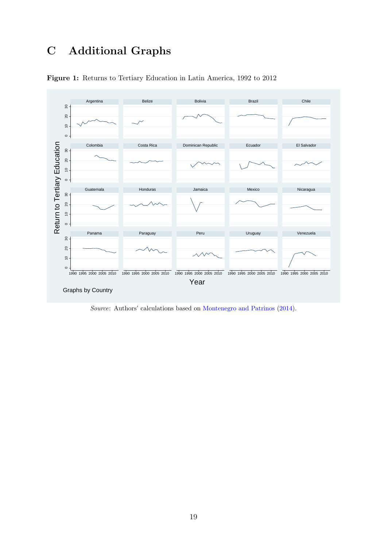## C Additional Graphs



Figure 1: Returns to Tertiary Education in Latin America, 1992 to 2012

Source: Authors' calculations based on [Montenegro and Patrinos](#page-15-6) [\(2014\)](#page-15-6).